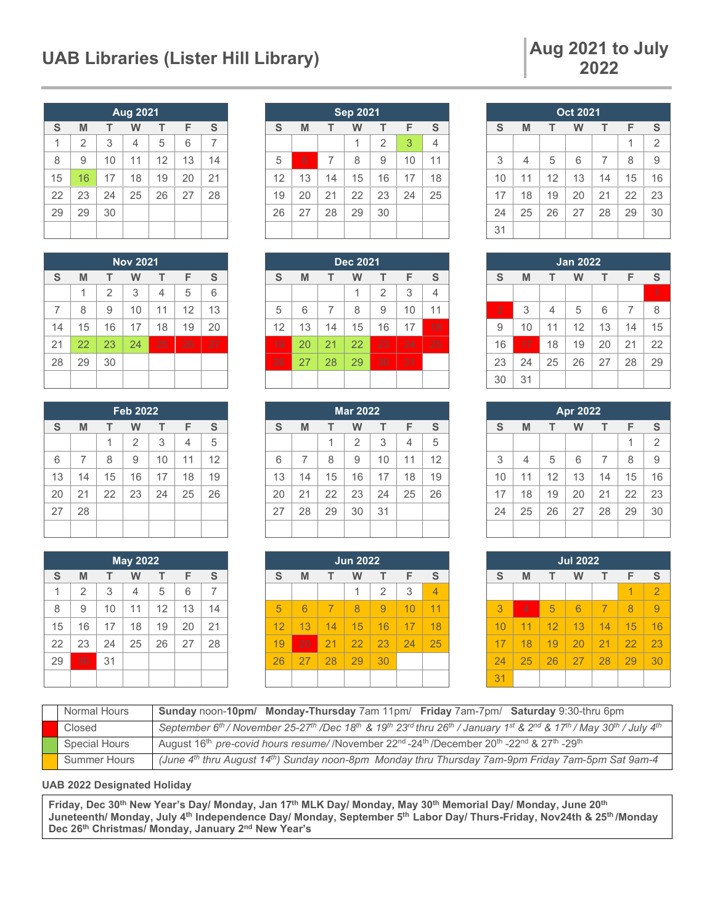#### UAB Libraries (Lister Hill Library) **Aug 2021** to July

## **2022**

| <b>Aug 2021</b> |                |    |    |    |    |    |  |  |
|-----------------|----------------|----|----|----|----|----|--|--|
| S               | M              | т  | W  | т  | F  | S  |  |  |
| 1               | $\overline{2}$ | 3  | 4  | 5  | 6  | 7  |  |  |
| 8               | 9              | 10 | 11 | 12 | 13 | 14 |  |  |
| 15              | 16             | 17 | 18 | 19 | 20 | 21 |  |  |
| 22              | 23             | 24 | 25 | 26 | 27 | 28 |  |  |
| 29              | 29             | 30 |    |    |    |    |  |  |
|                 |                |    |    |    |    |    |  |  |

| <b>Nov 2021</b> |    |                |    |    |    |    |  |  |
|-----------------|----|----------------|----|----|----|----|--|--|
| S               | M  | т              | w  | т  | F  | S  |  |  |
|                 | 1  | $\overline{2}$ | 3  | 4  | 5  | 6  |  |  |
| 7               | 8  | 9              | 10 | 11 | 12 | 13 |  |  |
| 14              | 15 | 16             | 17 | 18 | 19 | 20 |  |  |
| 21              | 22 | 23             | 24 | 25 | 26 | 27 |  |  |
| 28              | 29 | 30             |    |    |    |    |  |  |
|                 |    |                |    |    |    |    |  |  |

| <b>Feb 2022</b> |    |    |                |    |    |    |  |  |
|-----------------|----|----|----------------|----|----|----|--|--|
| S               | M  | т  | W              | т  | F  | S  |  |  |
|                 |    | 1  | $\overline{2}$ | 3  | 4  | 5  |  |  |
| 6               | 7  | 8  | 9              | 10 | 11 | 12 |  |  |
| 13              | 14 | 15 | 16             | 17 | 18 | 19 |  |  |
| 20              | 21 | 22 | 23             | 24 | 25 | 26 |  |  |
| 27              | 28 |    |                |    |    |    |  |  |
|                 |    |    |                |    |    |    |  |  |

| <b>May 2022</b> |                |    |    |    |    |    |  |  |
|-----------------|----------------|----|----|----|----|----|--|--|
| S               | M              | T  | W  | т  | F  | S  |  |  |
| 1               | $\overline{2}$ | 3  | 4  | 5  | 6  | 7  |  |  |
| 8               | 9              | 10 | 11 | 12 | 13 | 14 |  |  |
| 15              | 16             | 17 | 18 | 19 | 20 | 21 |  |  |
| 22              | 23             | 24 | 25 | 26 | 27 | 28 |  |  |
| 29              | 30             | 31 |    |    |    |    |  |  |
|                 |                |    |    |    |    |    |  |  |

| <b>Sep 2021</b>                 |    |    |    |                |    |    |  |  |
|---------------------------------|----|----|----|----------------|----|----|--|--|
| S<br>F<br>S<br>M<br>т<br>т<br>w |    |    |    |                |    |    |  |  |
|                                 |    |    | 1  | $\overline{2}$ | 3  | 4  |  |  |
| 5                               | 6  | 7  | 8  | 9              | 10 | 11 |  |  |
| 12                              | 13 | 14 | 15 | 16             | 17 | 18 |  |  |
| 19                              | 20 | 21 | 22 | 23             | 24 | 25 |  |  |
| 26                              | 27 | 28 | 29 | 30             |    |    |  |  |
|                                 |    |    |    |                |    |    |  |  |

| <b>Dec 2021</b> |    |    |    |                |    |    |  |  |
|-----------------|----|----|----|----------------|----|----|--|--|
| S               | M  | т  | w  | т              | F  | S  |  |  |
|                 |    |    |    | $\overline{2}$ | 3  | 4  |  |  |
| 5               | 6  | 7  | 8  | 9              | 10 | 11 |  |  |
| 12              | 13 | 14 | 15 | 16             | 17 | 18 |  |  |
| 19              | 20 | 21 | 22 | 23             | 24 | 25 |  |  |
| 26              | 27 | 28 | 29 | 30             | 31 |    |  |  |
|                 |    |    |    |                |    |    |  |  |

| <b>Mar 2022</b> |    |    |    |    |                |               |  |  |
|-----------------|----|----|----|----|----------------|---------------|--|--|
| S               | M  | т  | W  | т  | F              | ${\mathbb S}$ |  |  |
|                 |    | 1  | 2  | 3  | $\overline{4}$ | 5             |  |  |
| 6               | 7  | 8  | 9  | 10 | 11             | 12            |  |  |
| 13              | 14 | 15 | 16 | 17 | 18             | 19            |  |  |
| 20              | 21 | 22 | 23 | 24 | 25             | 26            |  |  |
| 27              | 28 | 29 | 30 | 31 |                |               |  |  |
|                 |    |    |    |    |                |               |  |  |

| <b>Jun 2022</b> |    |    |    |                |    |    |  |  |
|-----------------|----|----|----|----------------|----|----|--|--|
| S               | M  | т  |    | т              | F  | S  |  |  |
|                 |    |    |    | $\overline{2}$ | 3  |    |  |  |
| 5               | 6  | 7  | 8  | 9              | 10 | 11 |  |  |
| 12              | 13 | 14 | 15 | 16             | 17 | 18 |  |  |
| 19              | 20 | 21 | 22 | 23             | 24 | 25 |  |  |
| 26              | 27 | 28 | 29 | 30             |    |    |  |  |
|                 |    |    |    |                |    |    |  |  |

| <b>Oct 2021</b> |                            |    |    |                |    |                |  |  |  |
|-----------------|----------------------------|----|----|----------------|----|----------------|--|--|--|
| S               | S<br>F<br>M<br>т<br>т<br>W |    |    |                |    |                |  |  |  |
|                 |                            |    |    |                | 1  | $\overline{2}$ |  |  |  |
| 3               | $\overline{4}$             | 5  | 6  | $\overline{7}$ | 8  | 9              |  |  |  |
| 10              | 11                         | 12 | 13 | 14             | 15 | 16             |  |  |  |
| 17              | 18                         | 19 | 20 | 21             | 22 | 23             |  |  |  |
| 24              | 25                         | 26 | 27 | 28             | 29 | 30             |  |  |  |
| 31              |                            |    |    |                |    |                |  |  |  |

| <b>Jan 2022</b> |    |                |    |    |    |    |  |  |  |
|-----------------|----|----------------|----|----|----|----|--|--|--|
| S               | M  | т              | W  | т  | F  | S  |  |  |  |
|                 |    |                |    |    |    | 1  |  |  |  |
| $\overline{2}$  | 3  | $\overline{4}$ | 5  | 6  | 7  | 8  |  |  |  |
| 9               | 10 | 11             | 12 | 13 | 14 | 15 |  |  |  |
| 16              | 17 | 18             | 19 | 20 | 21 | 22 |  |  |  |
| 23              | 24 | 25             | 26 | 27 | 28 | 29 |  |  |  |
| 30              | 31 |                |    |    |    |    |  |  |  |

| <b>Apr 2022</b> |                |    |    |    |    |                |  |  |  |
|-----------------|----------------|----|----|----|----|----------------|--|--|--|
| S               | M              | т  | W  | т  | F  | S              |  |  |  |
|                 |                |    |    |    | 1  | $\overline{2}$ |  |  |  |
| 3               | $\overline{4}$ | 5  | 6  | 7  | 8  | 9              |  |  |  |
| 10              | 11             | 12 | 13 | 14 | 15 | 16             |  |  |  |
| 17              | 18             | 19 | 20 | 21 | 22 | 23             |  |  |  |
| 24              | 25             | 26 | 27 | 28 | 29 | 30             |  |  |  |
|                 |                |    |    |    |    |                |  |  |  |

| <b>Jul 2022</b> |                |    |    |    |    |                |  |  |  |
|-----------------|----------------|----|----|----|----|----------------|--|--|--|
| S               | M              | F  | S  |    |    |                |  |  |  |
|                 |                |    |    |    | 1  | $\overline{2}$ |  |  |  |
| 3               | $\overline{4}$ | 5  | 6  | 7  | 8  |                |  |  |  |
| 10              | 11             | 12 | 13 | 14 | 15 | 16             |  |  |  |
| 17              | 18             | 19 | 20 | 21 | 22 | 23             |  |  |  |
| 24              | 25             | 26 | 27 | 28 | 29 | 30             |  |  |  |
| 31              |                |    |    |    |    |                |  |  |  |

| Normal Hours         | Sunday noon-10pm/ Monday-Thursday 7am 11pm/ Friday 7am-7pm/ Saturday 9:30-thru 6pm                                                                                                                                                                    |
|----------------------|-------------------------------------------------------------------------------------------------------------------------------------------------------------------------------------------------------------------------------------------------------|
| Closed               | September 6 <sup>th</sup> / November 25-27 <sup>th</sup> /Dec 18 <sup>th</sup> & 19 <sup>th</sup> 23 <sup>rd</sup> thru 26 <sup>th</sup> / January 1 <sup>st</sup> & 2 <sup>nd</sup> & 17 <sup>th</sup> / May 30 <sup>th</sup> / July 4 <sup>th</sup> |
| <b>Special Hours</b> | August 16 <sup>th</sup> pre-covid hours resume//November 22 <sup>nd</sup> -24 <sup>th</sup> /December 20 <sup>th</sup> -22 <sup>nd</sup> & 27 <sup>th</sup> -29 <sup>th</sup>                                                                         |
| <b>Summer Hours</b>  | (June 4th thru August 14th) Sunday noon-8pm Monday thru Thursday 7am-9pm Friday 7am-5pm Sat 9am-4                                                                                                                                                     |

**UAB 2022 Designated Holiday**

**Friday, Dec 30th New Year's Day/ Monday, Jan 17th MLK Day/ Monday, May 30th Memorial Day/ Monday, June 20th Juneteenth/ Monday, July 4th Independence Day/ Monday, September 5th Labor Day/ Thurs-Friday, Nov24th & 25th /Monday Dec 26th Christmas/ Monday, January 2nd New Year's**